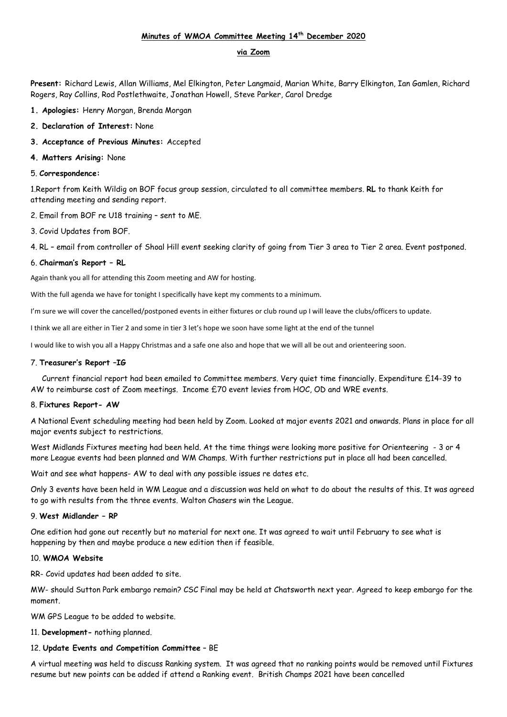# **Minutes of WMOA Committee Meeting 14th December 2020**

### **via Zoom**

**Present:** Richard Lewis, Allan Williams, Mel Elkington, Peter Langmaid, Marian White, Barry Elkington, Ian Gamlen, Richard Rogers, Ray Collins, Rod Postlethwaite, Jonathan Howell, Steve Parker, Carol Dredge

- **1. Apologies:** Henry Morgan, Brenda Morgan
- **2. Declaration of Interest:** None
- **3. Acceptance of Previous Minutes:** Accepted
- **4. Matters Arising:** None

#### 5. **Correspondence:**

1.Report from Keith Wildig on BOF focus group session, circulated to all committee members. **RL** to thank Keith for attending meeting and sending report.

2. Email from BOF re U18 training – sent to ME.

3. Covid Updates from BOF.

4. RL – email from controller of Shoal Hill event seeking clarity of going from Tier 3 area to Tier 2 area. Event postponed.

### 6. **Chairman's Report – RL**

Again thank you all for attending this Zoom meeting and AW for hosting.

With the full agenda we have for tonight I specifically have kept my comments to a minimum.

I'm sure we will cover the cancelled/postponed events in either fixtures or club round up I will leave the clubs/officers to update.

I think we all are either in Tier 2 and some in tier 3 let's hope we soon have some light at the end of the tunnel

I would like to wish you all a Happy Christmas and a safe one also and hope that we will all be out and orienteering soon.

#### 7. **Treasurer's Report –IG**

 Current financial report had been emailed to Committee members. Very quiet time financially. Expenditure £14-39 to AW to reimburse cost of Zoom meetings. Income £70 event levies from HOC, OD and WRE events.

#### 8. **Fixtures Report- AW**

A National Event scheduling meeting had been held by Zoom. Looked at major events 2021 and onwards. Plans in place for all major events subject to restrictions.

West Midlands Fixtures meeting had been held. At the time things were looking more positive for Orienteering - 3 or 4 more League events had been planned and WM Champs. With further restrictions put in place all had been cancelled.

Wait and see what happens- AW to deal with any possible issues re dates etc.

Only 3 events have been held in WM League and a discussion was held on what to do about the results of this. It was agreed to go with results from the three events. Walton Chasers win the League.

### 9. **West Midlander – RP**

One edition had gone out recently but no material for next one. It was agreed to wait until February to see what is happening by then and maybe produce a new edition then if feasible.

#### 10. **WMOA Website**

RR- Covid updates had been added to site.

MW- should Sutton Park embargo remain? CSC Final may be held at Chatsworth next year. Agreed to keep embargo for the moment.

WM GPS League to be added to website.

11. **Development-** nothing planned.

### 12. **Update Events and Competition Committee** – BE

A virtual meeting was held to discuss Ranking system. It was agreed that no ranking points would be removed until Fixtures resume but new points can be added if attend a Ranking event. British Champs 2021 have been cancelled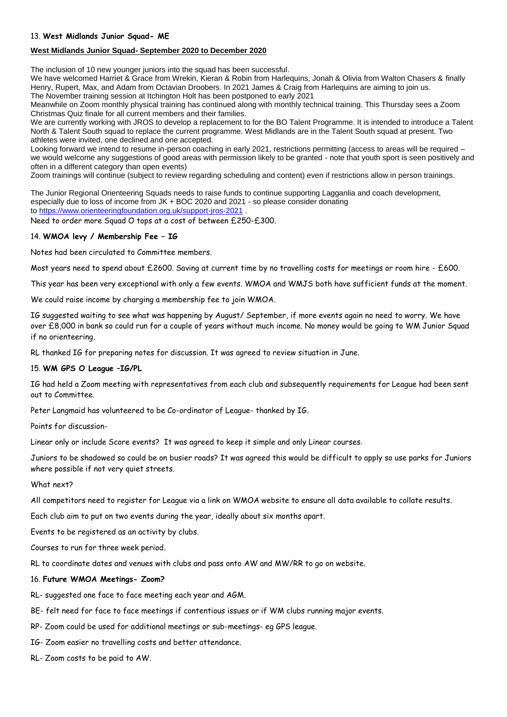### **West Midlands Junior Squad- September 2020 to December 2020**

The inclusion of 10 new younger juniors into the squad has been successful.

We have welcomed Harriet & Grace from Wrekin, Kieran & Robin from Harlequins, Jonah & Olivia from Walton Chasers & finally Henry, Rupert, Max, and Adam from Octavian Droobers. In 2021 James & Craig from Harlequins are aiming to join us. The November training session at Itchington Holt has been postponed to early 2021

Meanwhile on Zoom monthly physical training has continued along with monthly technical training. This Thursday sees a Zoom Christmas Quiz finale for all current members and their families.

We are currently working with JROS to develop a replacement to for the BO Talent Programme. It is intended to introduce a Talent North & Talent South squad to replace the current programme. West Midlands are in the Talent South squad at present. Two athletes were invited, one declined and one accepted.

Looking forward we intend to resume in-person coaching in early 2021, restrictions permitting (access to areas will be required – we would welcome any suggestions of good areas with permission likely to be granted - note that youth sport is seen positively and often in a different category than open events)

Zoom trainings will continue (subject to review regarding scheduling and content) even if restrictions allow in person trainings.

The Junior Regional Orienteering Squads needs to raise funds to continue supporting Lagganlia and coach development, especially due to loss of income from JK + BOC 2020 and 2021 - so please consider donating to <https://www.orienteeringfoundation.org.uk/support-jros-2021> .

Need to order more Squad O tops at a cost of between £250-£300.

### 14. **WMOA levy / Membership Fee – IG**

Notes had been circulated to Committee members.

Most years need to spend about £2600. Saving at current time by no travelling costs for meetings or room hire - £600.

This year has been very exceptional with only a few events. WMOA and WMJS both have sufficient funds at the moment.

We could raise income by charging a membership fee to join WMOA.

IG suggested waiting to see what was happening by August/ September, if more events again no need to worry. We have over £8,000 in bank so could run for a couple of years without much income. No money would be going to WM Junior Squad if no orienteering.

RL thanked IG for preparing notes for discussion. It was agreed to review situation in June.

#### 15. **WM GPS O League –IG/PL**

IG had held a Zoom meeting with representatives from each club and subsequently requirements for League had been sent out to Committee.

Peter Langmaid has volunteered to be Co-ordinator of League- thanked by IG.

Points for discussion-

Linear only or include Score events? It was agreed to keep it simple and only Linear courses.

Juniors to be shadowed so could be on busier roads? It was agreed this would be difficult to apply so use parks for Juniors where possible if not very quiet streets.

#### What next?

All competitors need to register for League via a link on WMOA website to ensure all data available to collate results.

Each club aim to put on two events during the year, ideally about six months apart.

Events to be registered as an activity by clubs.

Courses to run for three week period.

RL to coordinate dates and venues with clubs and pass onto AW and MW/RR to go on website.

### 16. **Future WMOA Meetings- Zoom?**

- RL- suggested one face to face meeting each year and AGM.
- BE- felt need for face to face meetings if contentious issues or if WM clubs running major events.
- RP- Zoom could be used for additional meetings or sub-meetings- eg GPS league.
- IG- Zoom easier no travelling costs and better attendance.

RL- Zoom costs to be paid to AW.